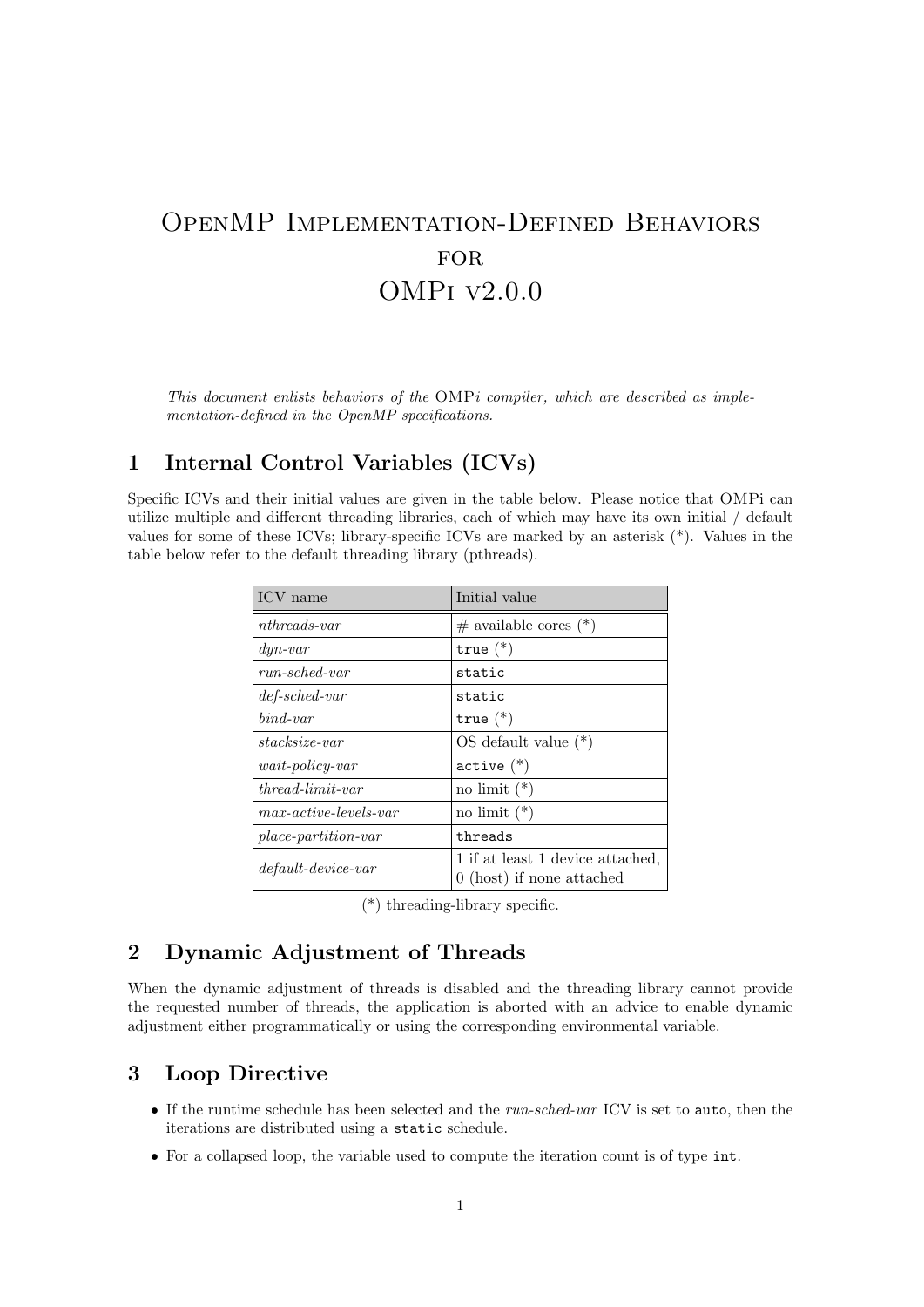# OpenMP Implementation-Defined Behaviors FOR. OMPi v2.0.0

*This document enlists behaviors of the* OMP*i compiler, which are described as implementation-defined in the OpenMP specifications.*

# **1 Internal Control Variables (ICVs)**

Specific ICVs and their initial values are given in the table below. Please notice that OMPi can utilize multiple and different threading libraries, each of which may have its own initial / default values for some of these ICVs; library-specific ICVs are marked by an asterisk (\*). Values in the table below refer to the default threading library (pthreads).

| ICV name                                     | Initial value                                                   |
|----------------------------------------------|-----------------------------------------------------------------|
| $nthreads-var$                               | $\#$ available cores $(*)$                                      |
| $\frac{dyn-var}{}$                           | true $(*)$                                                      |
| $run-sched-var$                              | static                                                          |
| $def-sched-var$                              | static                                                          |
| $bind-var$                                   | true $(*)$                                                      |
| $stacksize-var$                              | $OS$ default value $(*)$                                        |
| $wait\text{-}policy\text{-}var$              | $active (*)$                                                    |
| $thread-limit-var$                           | no limit $(*)$                                                  |
| $max\text{-}active\text{-}levels\text{-}var$ | no limit $(*)$                                                  |
| $place-partition-var$                        | threads                                                         |
| $default\text{-}device\text{-}var$           | 1 if at least 1 device attached,<br>$0$ (host) if none attached |

(\*) threading-library specific.

#### **2 Dynamic Adjustment of Threads**

When the dynamic adjustment of threads is disabled and the threading library cannot provide the requested number of threads, the application is aborted with an advice to enable dynamic adjustment either programmatically or using the corresponding environmental variable.

#### **3 Loop Directive**

- *•* If the runtime schedule has been selected and the *run-sched-var* ICV is set to auto, then the iterations are distributed using a static schedule.
- For a collapsed loop, the variable used to compute the iteration count is of type int.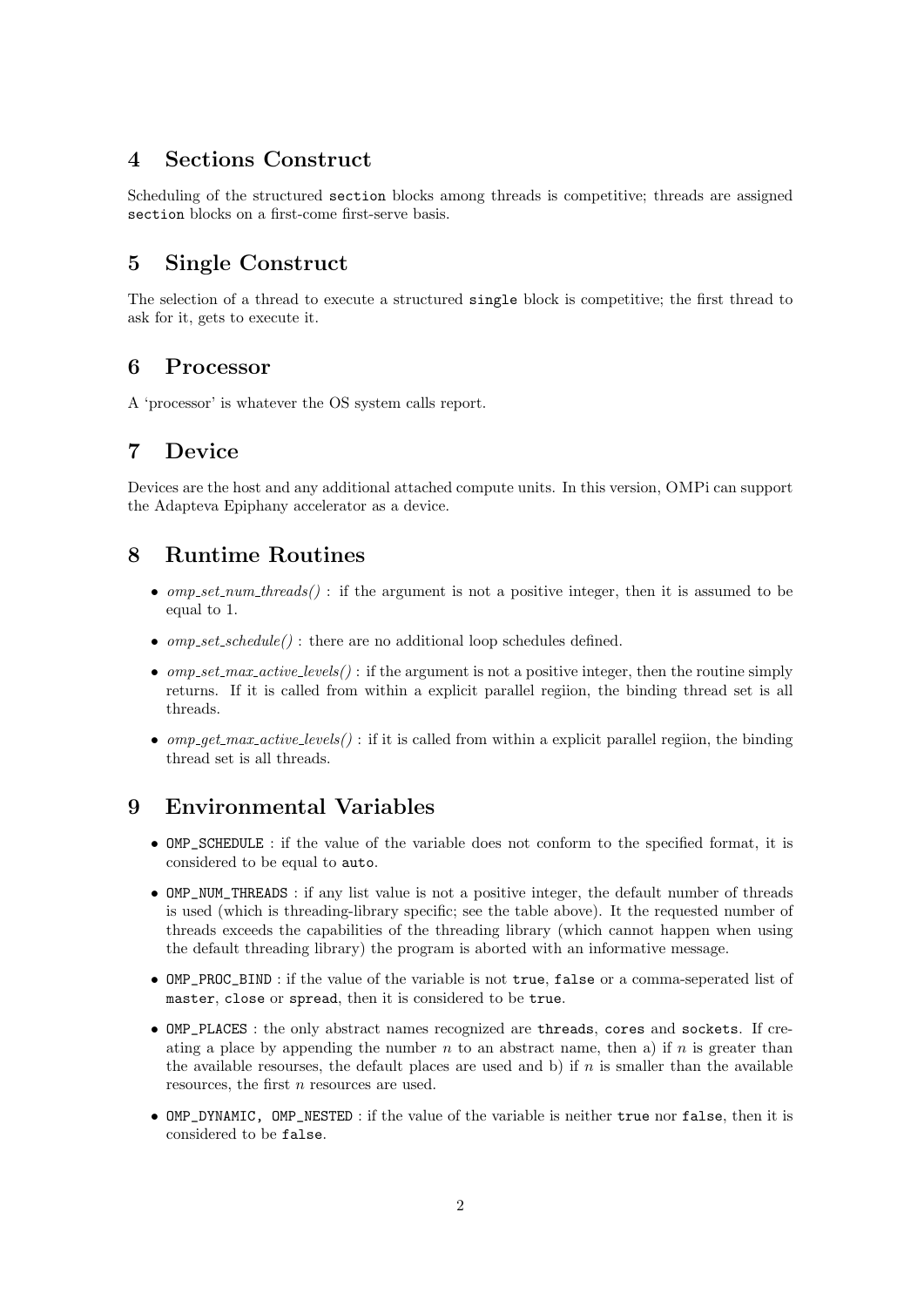# **4 Sections Construct**

Scheduling of the structured section blocks among threads is competitive; threads are assigned section blocks on a first-come first-serve basis.

# **5 Single Construct**

The selection of a thread to execute a structured single block is competitive; the first thread to ask for it, gets to execute it.

#### **6 Processor**

A 'processor' is whatever the OS system calls report.

# **7 Device**

Devices are the host and any additional attached compute units. In this version, OMPi can support the Adapteva Epiphany accelerator as a device.

### **8 Runtime Routines**

- *omp\_set\_num\_threads()* : if the argument is not a positive integer, then it is assumed to be equal to 1.
- *omp\_set\_schedule()*: there are no additional loop schedules defined.
- $omp_set\_max\_active\_levels()$ : if the argument is not a positive integer, then the routine simply returns. If it is called from within a explicit parallel regiion, the binding thread set is all threads.
- *omp\_get\_max\_active\_levels()*: if it is called from within a explicit parallel regiion, the binding thread set is all threads.

#### **9 Environmental Variables**

- OMP\_SCHEDULE : if the value of the variable does not conform to the specified format, it is considered to be equal to auto.
- OMP\_NUM\_THREADS: if any list value is not a positive integer, the default number of threads is used (which is threading-library specific; see the table above). It the requested number of threads exceeds the capabilities of the threading library (which cannot happen when using the default threading library) the program is aborted with an informative message.
- *•* OMP\_PROC\_BIND : if the value of the variable is not true, false or a comma-seperated list of master, close or spread, then it is considered to be true.
- OMP\_PLACES : the only abstract names recognized are threads, cores and sockets. If creating a place by appending the number  $n$  to an abstract name, then a) if  $n$  is greater than the available resourses, the default places are used and b) if  $n$  is smaller than the available resources, the first *n* resources are used.
- *•* OMP\_DYNAMIC, OMP\_NESTED : if the value of the variable is neither true nor false, then it is considered to be false.